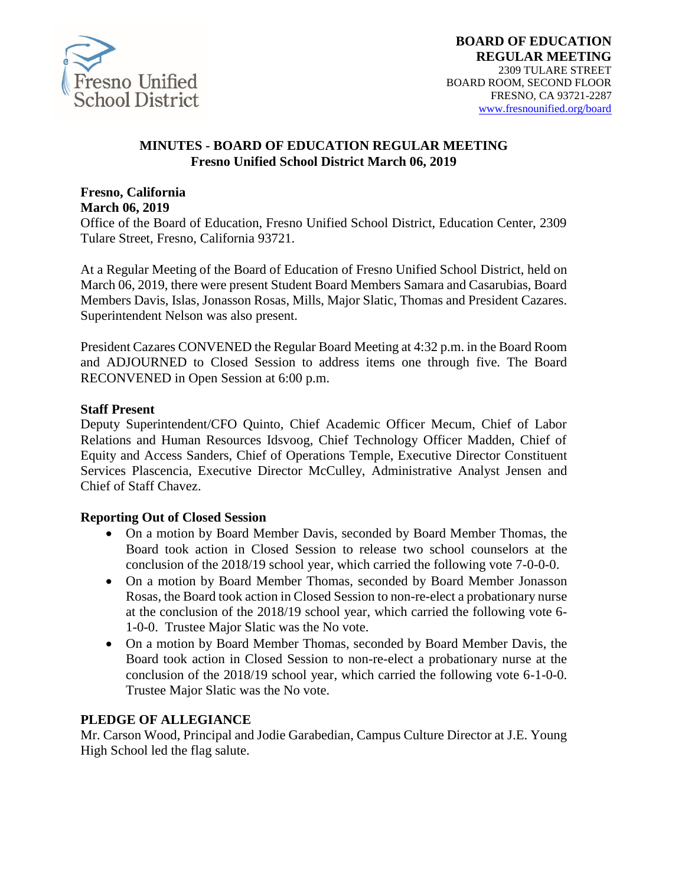

### **MINUTES - BOARD OF EDUCATION REGULAR MEETING Fresno Unified School District March 06, 2019**

#### **Fresno, California March 06, 2019**

Office of the Board of Education, Fresno Unified School District, Education Center, 2309 Tulare Street, Fresno, California 93721.

At a Regular Meeting of the Board of Education of Fresno Unified School District, held on March 06, 2019, there were present Student Board Members Samara and Casarubias, Board Members Davis, Islas, Jonasson Rosas, Mills, Major Slatic, Thomas and President Cazares. Superintendent Nelson was also present.

President Cazares CONVENED the Regular Board Meeting at 4:32 p.m. in the Board Room and ADJOURNED to Closed Session to address items one through five. The Board RECONVENED in Open Session at 6:00 p.m.

#### **Staff Present**

Deputy Superintendent/CFO Quinto, Chief Academic Officer Mecum, Chief of Labor Relations and Human Resources Idsvoog, Chief Technology Officer Madden, Chief of Equity and Access Sanders, Chief of Operations Temple, Executive Director Constituent Services Plascencia, Executive Director McCulley, Administrative Analyst Jensen and Chief of Staff Chavez.

### **Reporting Out of Closed Session**

- On a motion by Board Member Davis, seconded by Board Member Thomas, the Board took action in Closed Session to release two school counselors at the conclusion of the 2018/19 school year, which carried the following vote 7-0-0-0.
- On a motion by Board Member Thomas, seconded by Board Member Jonasson Rosas, the Board took action in Closed Session to non-re-elect a probationary nurse at the conclusion of the 2018/19 school year, which carried the following vote 6- 1-0-0. Trustee Major Slatic was the No vote.
- On a motion by Board Member Thomas, seconded by Board Member Davis, the Board took action in Closed Session to non-re-elect a probationary nurse at the conclusion of the 2018/19 school year, which carried the following vote 6-1-0-0. Trustee Major Slatic was the No vote.

### **PLEDGE OF ALLEGIANCE**

Mr. Carson Wood, Principal and Jodie Garabedian, Campus Culture Director at J.E. Young High School led the flag salute.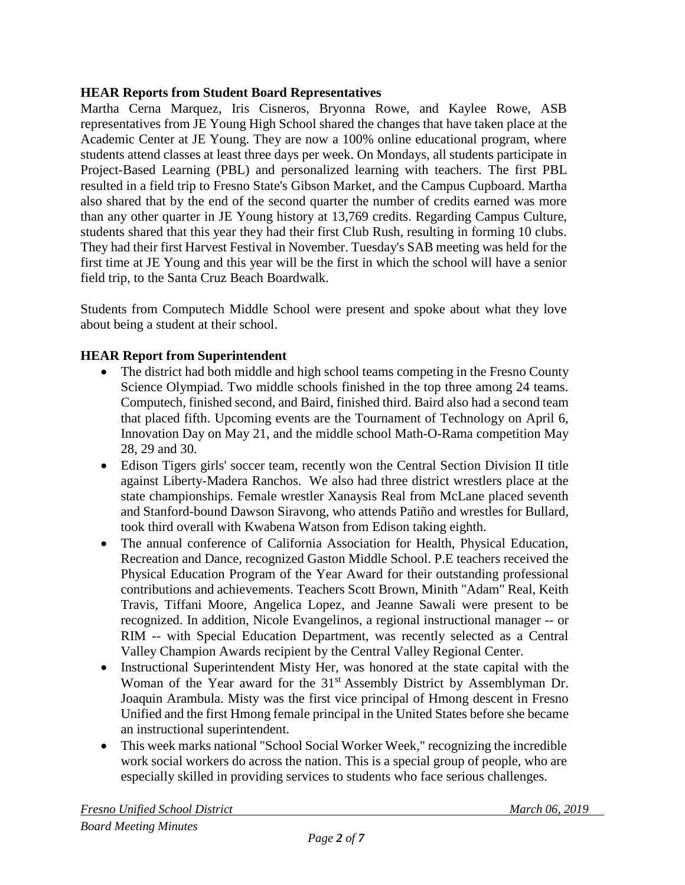## **HEAR Reports from Student Board Representatives**

Martha Cerna Marquez, Iris Cisneros, Bryonna Rowe, and Kaylee Rowe, ASB representatives from JE Young High School shared the changes that have taken place at the Academic Center at JE Young. They are now a 100% online educational program, where students attend classes at least three days per week. On Mondays, all students participate in Project-Based Learning (PBL) and personalized learning with teachers. The first PBL resulted in a field trip to Fresno State's Gibson Market, and the Campus Cupboard. Martha also shared that by the end of the second quarter the number of credits earned was more than any other quarter in JE Young history at 13,769 credits. Regarding Campus Culture, students shared that this year they had their first Club Rush, resulting in forming 10 clubs. They had their first Harvest Festival in November. Tuesday's SAB meeting was held for the first time at JE Young and this year will be the first in which the school will have a senior field trip, to the Santa Cruz Beach Boardwalk.

Students from Computech Middle School were present and spoke about what they love about being a student at their school.

## **HEAR Report from Superintendent**

- The district had both middle and high school teams competing in the Fresno County Science Olympiad. Two middle schools finished in the top three among 24 teams. Computech, finished second, and Baird, finished third. Baird also had a second team that placed fifth. Upcoming events are the Tournament of Technology on April 6, Innovation Day on May 21, and the middle school Math-O-Rama competition May 28, 29 and 30.
- Edison Tigers girls' soccer team, recently won the Central Section Division II title against Liberty-Madera Ranchos. We also had three district wrestlers place at the state championships. Female wrestler Xanaysis Real from McLane placed seventh and Stanford-bound Dawson Siravong, who attends Patiño and wrestles for Bullard, took third overall with Kwabena Watson from Edison taking eighth.
- The annual conference of California Association for Health, Physical Education, Recreation and Dance, recognized Gaston Middle School. P.E teachers received the Physical Education Program of the Year Award for their outstanding professional contributions and achievements. Teachers Scott Brown, Minith "Adam" Real, Keith Travis, Tiffani Moore, Angelica Lopez, and Jeanne Sawali were present to be recognized. In addition, Nicole Evangelinos, a regional instructional manager -- or RIM -- with Special Education Department, was recently selected as a Central Valley Champion Awards recipient by the Central Valley Regional Center.
- Instructional Superintendent Misty Her, was honored at the state capital with the Woman of the Year award for the 31<sup>st</sup> Assembly District by Assemblyman Dr. Joaquin Arambula. Misty was the first vice principal of Hmong descent in Fresno Unified and the first Hmong female principal in the United States before she became an instructional superintendent.
- This week marks national "School Social Worker Week," recognizing the incredible work social workers do across the nation. This is a special group of people, who are especially skilled in providing services to students who face serious challenges.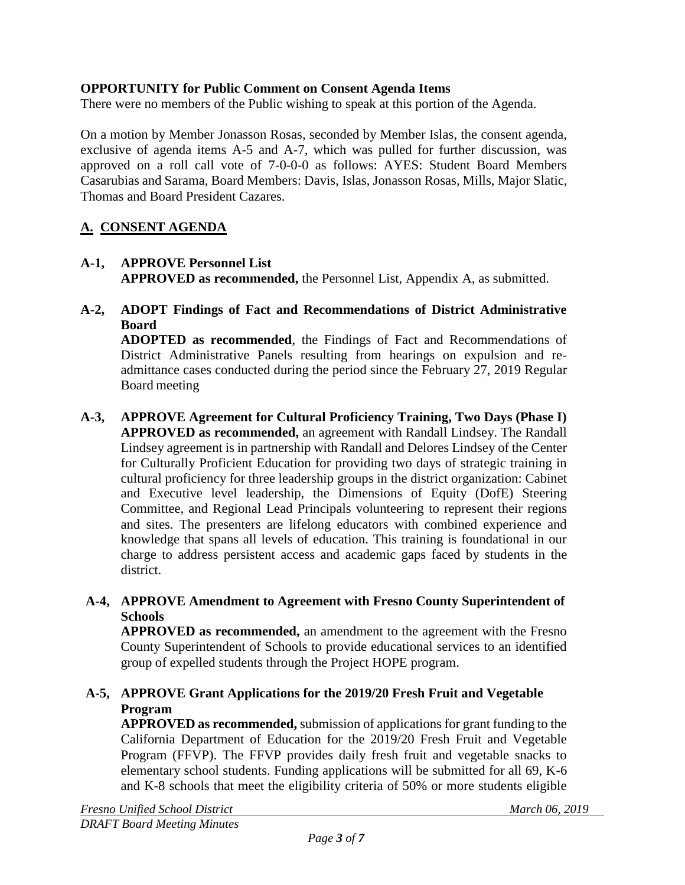### **OPPORTUNITY for Public Comment on Consent Agenda Items**

There were no members of the Public wishing to speak at this portion of the Agenda.

On a motion by Member Jonasson Rosas, seconded by Member Islas, the consent agenda, exclusive of agenda items A-5 and A-7, which was pulled for further discussion, was approved on a roll call vote of 7-0-0-0 as follows: AYES: Student Board Members Casarubias and Sarama, Board Members: Davis, Islas, Jonasson Rosas, Mills, Major Slatic, Thomas and Board President Cazares.

## **A. CONSENT AGENDA**

#### **A-1, APPROVE Personnel List APPROVED as recommended,** the Personnel List, Appendix A, as submitted.

**A-2, ADOPT Findings of Fact and Recommendations of District Administrative Board**

**ADOPTED as recommended**, the Findings of Fact and Recommendations of District Administrative Panels resulting from hearings on expulsion and readmittance cases conducted during the period since the February 27, 2019 Regular Board meeting

**A-3, APPROVE Agreement for Cultural Proficiency Training, Two Days (Phase I) APPROVED as recommended,** an agreement with Randall Lindsey. The Randall Lindsey agreement is in partnership with Randall and Delores Lindsey of the Center for Culturally Proficient Education for providing two days of strategic training in cultural proficiency for three leadership groups in the district organization: Cabinet and Executive level leadership, the Dimensions of Equity (DofE) Steering Committee, and Regional Lead Principals volunteering to represent their regions and sites. The presenters are lifelong educators with combined experience and knowledge that spans all levels of education. This training is foundational in our charge to address persistent access and academic gaps faced by students in the district.

### **A-4, APPROVE Amendment to Agreement with Fresno County Superintendent of Schools**

**APPROVED as recommended,** an amendment to the agreement with the Fresno County Superintendent of Schools to provide educational services to an identified group of expelled students through the Project HOPE program.

### **A-5, APPROVE Grant Applications for the 2019/20 Fresh Fruit and Vegetable Program**

**APPROVED as recommended,** submission of applications for grant funding to the California Department of Education for the 2019/20 Fresh Fruit and Vegetable Program (FFVP). The FFVP provides daily fresh fruit and vegetable snacks to elementary school students. Funding applications will be submitted for all 69, K-6 and K-8 schools that meet the eligibility criteria of 50% or more students eligible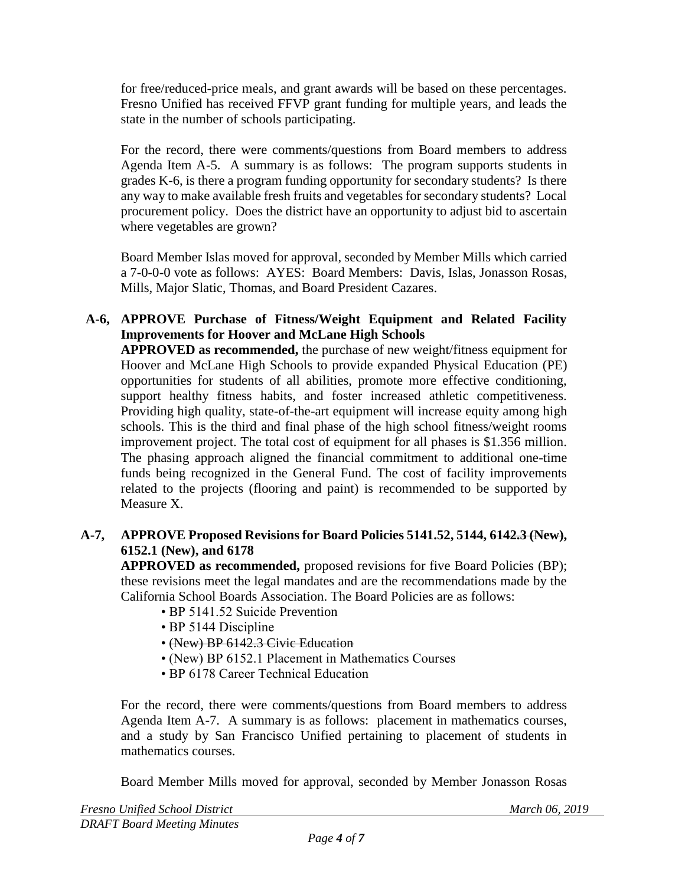for free/reduced-price meals, and grant awards will be based on these percentages. Fresno Unified has received FFVP grant funding for multiple years, and leads the state in the number of schools participating.

For the record, there were comments/questions from Board members to address Agenda Item A-5. A summary is as follows: The program supports students in grades K-6, is there a program funding opportunity for secondary students? Is there any way to make available fresh fruits and vegetables for secondary students? Local procurement policy. Does the district have an opportunity to adjust bid to ascertain where vegetables are grown?

Board Member Islas moved for approval, seconded by Member Mills which carried a 7-0-0-0 vote as follows: AYES: Board Members: Davis, Islas, Jonasson Rosas, Mills, Major Slatic, Thomas, and Board President Cazares.

## **A-6, APPROVE Purchase of Fitness/Weight Equipment and Related Facility Improvements for Hoover and McLane High Schools**

**APPROVED as recommended,** the purchase of new weight/fitness equipment for Hoover and McLane High Schools to provide expanded Physical Education (PE) opportunities for students of all abilities, promote more effective conditioning, support healthy fitness habits, and foster increased athletic competitiveness. Providing high quality, state-of-the-art equipment will increase equity among high schools. This is the third and final phase of the high school fitness/weight rooms improvement project. The total cost of equipment for all phases is \$1.356 million. The phasing approach aligned the financial commitment to additional one-time funds being recognized in the General Fund. The cost of facility improvements related to the projects (flooring and paint) is recommended to be supported by Measure X.

### **A-7, APPROVE Proposed Revisions for Board Policies 5141.52, 5144, 6142.3 (New), 6152.1 (New), and 6178**

**APPROVED as recommended,** proposed revisions for five Board Policies (BP); these revisions meet the legal mandates and are the recommendations made by the California School Boards Association. The Board Policies are as follows:

- BP 5141.52 Suicide Prevention
- BP 5144 Discipline
- (New) BP 6142.3 Civic Education
- (New) BP 6152.1 Placement in Mathematics Courses
- BP 6178 Career Technical Education

For the record, there were comments/questions from Board members to address Agenda Item A-7. A summary is as follows: placement in mathematics courses, and a study by San Francisco Unified pertaining to placement of students in mathematics courses.

Board Member Mills moved for approval, seconded by Member Jonasson Rosas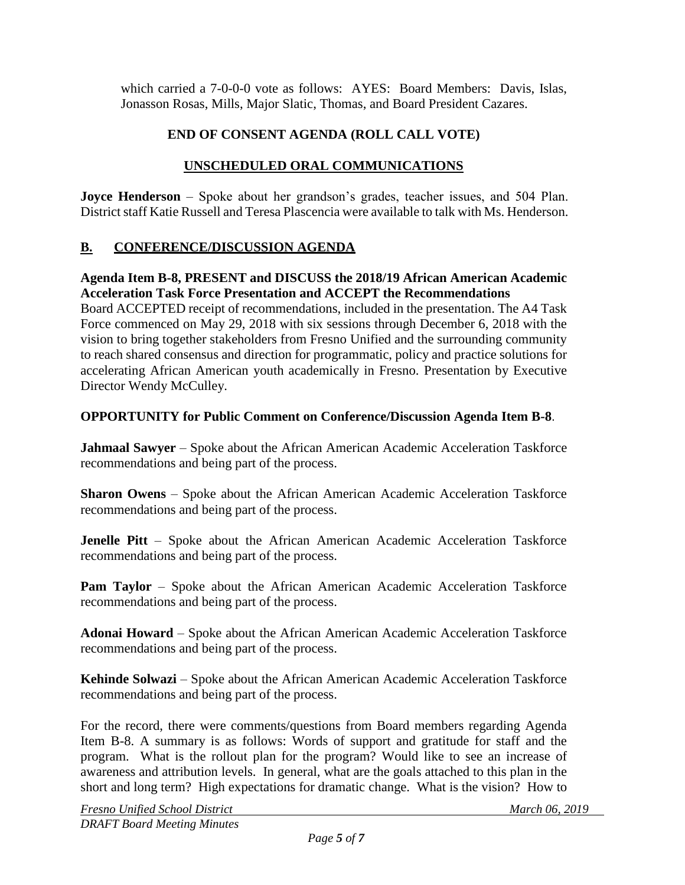which carried a 7-0-0-0 vote as follows: AYES: Board Members: Davis, Islas, Jonasson Rosas, Mills, Major Slatic, Thomas, and Board President Cazares.

## **END OF CONSENT AGENDA (ROLL CALL VOTE)**

### **UNSCHEDULED ORAL COMMUNICATIONS**

**Joyce Henderson** – Spoke about her grandson's grades, teacher issues, and 504 Plan. District staff Katie Russell and Teresa Plascencia were available to talk with Ms. Henderson.

### **B. CONFERENCE/DISCUSSION AGENDA**

#### **Agenda Item B-8, PRESENT and DISCUSS the 2018/19 African American Academic Acceleration Task Force Presentation and ACCEPT the Recommendations**

Board ACCEPTED receipt of recommendations, included in the presentation. The A4 Task Force commenced on May 29, 2018 with six sessions through December 6, 2018 with the vision to bring together stakeholders from Fresno Unified and the surrounding community to reach shared consensus and direction for programmatic, policy and practice solutions for accelerating African American youth academically in Fresno. Presentation by Executive Director Wendy McCulley.

### **OPPORTUNITY for Public Comment on Conference/Discussion Agenda Item B-8**.

**Jahmaal Sawyer** – Spoke about the African American Academic Acceleration Taskforce recommendations and being part of the process.

**Sharon Owens** – Spoke about the African American Academic Acceleration Taskforce recommendations and being part of the process.

**Jenelle Pitt** – Spoke about the African American Academic Acceleration Taskforce recommendations and being part of the process.

**Pam Taylor** – Spoke about the African American Academic Acceleration Taskforce recommendations and being part of the process.

**Adonai Howard** – Spoke about the African American Academic Acceleration Taskforce recommendations and being part of the process.

**Kehinde Solwazi** – Spoke about the African American Academic Acceleration Taskforce recommendations and being part of the process.

For the record, there were comments/questions from Board members regarding Agenda Item B-8. A summary is as follows: Words of support and gratitude for staff and the program. What is the rollout plan for the program? Would like to see an increase of awareness and attribution levels. In general, what are the goals attached to this plan in the short and long term? High expectations for dramatic change. What is the vision? How to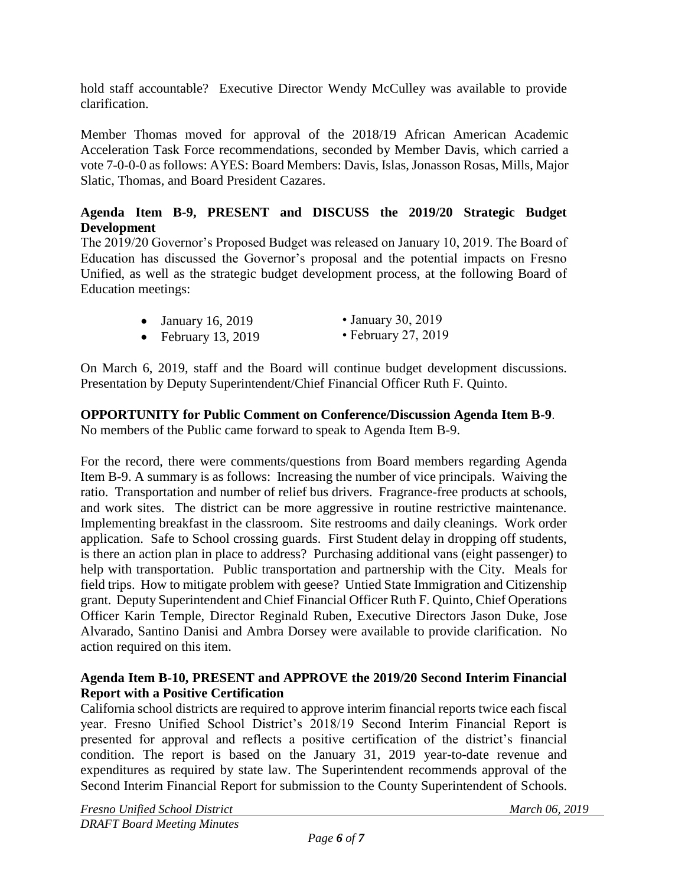hold staff accountable? Executive Director Wendy McCulley was available to provide clarification.

Member Thomas moved for approval of the 2018/19 African American Academic Acceleration Task Force recommendations, seconded by Member Davis, which carried a vote 7-0-0-0 as follows: AYES: Board Members: Davis, Islas, Jonasson Rosas, Mills, Major Slatic, Thomas, and Board President Cazares.

### **Agenda Item B-9, PRESENT and DISCUSS the 2019/20 Strategic Budget Development**

The 2019/20 Governor's Proposed Budget was released on January 10, 2019. The Board of Education has discussed the Governor's proposal and the potential impacts on Fresno Unified, as well as the strategic budget development process, at the following Board of Education meetings:

| January 16, 2019                           | $\cdot$ January 30, 2019     |
|--------------------------------------------|------------------------------|
| $\sim$ $E_{\text{1}}$ $\sim$ $\sim$ 12.000 | $\epsilon$ Fobruery 27, 2010 |

• February 13, 2019 • February 27, 2019

On March 6, 2019, staff and the Board will continue budget development discussions. Presentation by Deputy Superintendent/Chief Financial Officer Ruth F. Quinto.

#### **OPPORTUNITY for Public Comment on Conference/Discussion Agenda Item B-9**. No members of the Public came forward to speak to Agenda Item B-9.

For the record, there were comments/questions from Board members regarding Agenda Item B-9. A summary is as follows: Increasing the number of vice principals. Waiving the ratio. Transportation and number of relief bus drivers. Fragrance-free products at schools, and work sites. The district can be more aggressive in routine restrictive maintenance. Implementing breakfast in the classroom. Site restrooms and daily cleanings. Work order application. Safe to School crossing guards. First Student delay in dropping off students, is there an action plan in place to address? Purchasing additional vans (eight passenger) to help with transportation. Public transportation and partnership with the City. Meals for field trips. How to mitigate problem with geese? Untied State Immigration and Citizenship grant. Deputy Superintendent and Chief Financial Officer Ruth F. Quinto, Chief Operations Officer Karin Temple, Director Reginald Ruben, Executive Directors Jason Duke, Jose Alvarado, Santino Danisi and Ambra Dorsey were available to provide clarification. No action required on this item.

### **Agenda Item B-10, PRESENT and APPROVE the 2019/20 Second Interim Financial Report with a Positive Certification**

California school districts are required to approve interim financial reports twice each fiscal year. Fresno Unified School District's 2018/19 Second Interim Financial Report is presented for approval and reflects a positive certification of the district's financial condition. The report is based on the January 31, 2019 year-to-date revenue and expenditures as required by state law. The Superintendent recommends approval of the Second Interim Financial Report for submission to the County Superintendent of Schools.